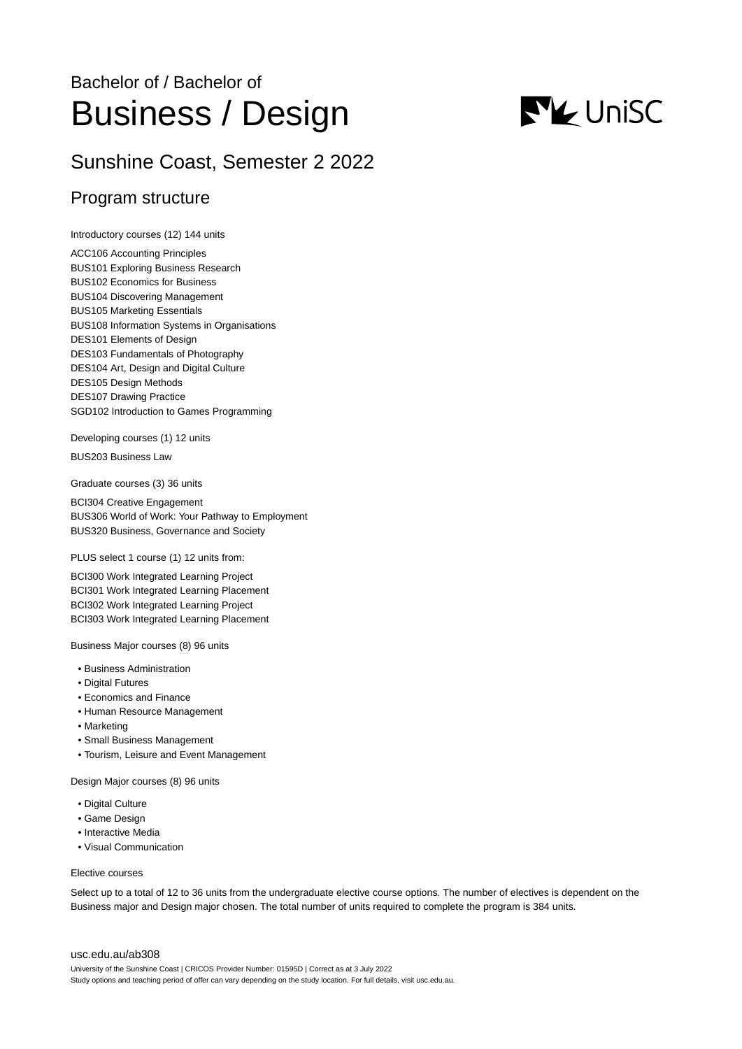# Bachelor of / Bachelor of Business / Design

## Sunshine Coast, Semester 2 2022

### Program structure

Introductory courses (12) 144 units

ACC106 Accounting Principles BUS101 Exploring Business Research BUS102 Economics for Business BUS104 Discovering Management BUS105 Marketing Essentials BUS108 Information Systems in Organisations DES101 Elements of Design DES103 Fundamentals of Photography DES104 Art, Design and Digital Culture DES105 Design Methods DES107 Drawing Practice SGD102 Introduction to Games Programming

Developing courses (1) 12 units

BUS203 Business Law

Graduate courses (3) 36 units

BCI304 Creative Engagement BUS306 World of Work: Your Pathway to Employment BUS320 Business, Governance and Society

PLUS select 1 course (1) 12 units from:

BCI300 Work Integrated Learning Project BCI301 Work Integrated Learning Placement BCI302 Work Integrated Learning Project BCI303 Work Integrated Learning Placement

Business Major courses (8) 96 units

- Business Administration
- Digital Futures
- Economics and Finance
- Human Resource Management
- Marketing
- Small Business Management
- Tourism, Leisure and Event Management

Design Major courses (8) 96 units

- Digital Culture
- Game Design
- Interactive Media
- Visual Communication

#### Elective courses

Select up to a total of 12 to 36 units from the undergraduate elective course options. The number of electives is dependent on the Business major and Design major chosen. The total number of units required to complete the program is 384 units.

#### [usc.edu.au/ab308](https://www.usc.edu.au/ab308)

University of the Sunshine Coast | CRICOS Provider Number: 01595D | Correct as at 3 July 2022 Study options and teaching period of offer can vary depending on the study location. For full details, visit usc.edu.au.

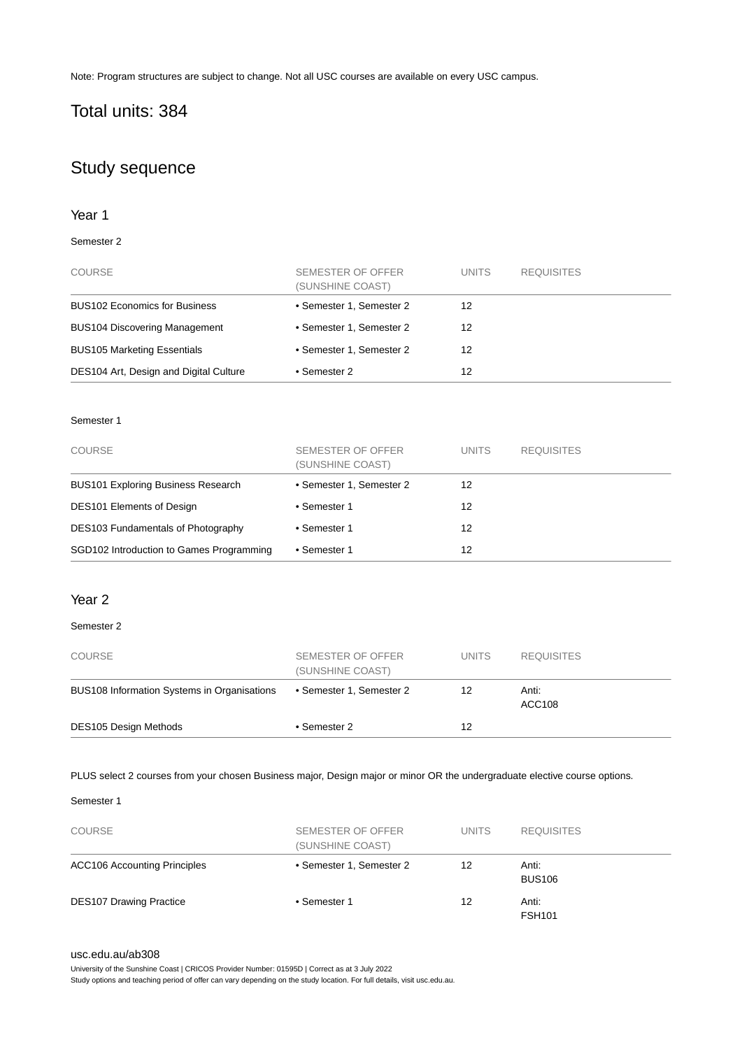Note: Program structures are subject to change. Not all USC courses are available on every USC campus.

## Total units: 384

### Study sequence

### Year 1

### Semester 2

| <b>COURSE</b>                          | SEMESTER OF OFFER<br>(SUNSHINE COAST) | <b>UNITS</b> | <b>REQUISITES</b> |
|----------------------------------------|---------------------------------------|--------------|-------------------|
| <b>BUS102 Economics for Business</b>   | • Semester 1, Semester 2              | 12           |                   |
| <b>BUS104 Discovering Management</b>   | • Semester 1, Semester 2              | 12           |                   |
| <b>BUS105 Marketing Essentials</b>     | • Semester 1, Semester 2              | 12           |                   |
| DES104 Art, Design and Digital Culture | • Semester 2                          | 12           |                   |

### Semester 1

| <b>COURSE</b>                             | SEMESTER OF OFFER<br>(SUNSHINE COAST) | <b>UNITS</b> | <b>REQUISITES</b> |
|-------------------------------------------|---------------------------------------|--------------|-------------------|
| <b>BUS101 Exploring Business Research</b> | • Semester 1, Semester 2              | 12           |                   |
| <b>DES101 Elements of Design</b>          | • Semester 1                          | 12           |                   |
| DES103 Fundamentals of Photography        | • Semester 1                          | 12           |                   |
| SGD102 Introduction to Games Programming  | • Semester 1                          | 12           |                   |

### Year 2

### Semester 2

| <b>COURSE</b>                               | SEMESTER OF OFFER<br>(SUNSHINE COAST) | <b>UNITS</b> | <b>REQUISITES</b>      |
|---------------------------------------------|---------------------------------------|--------------|------------------------|
| BUS108 Information Systems in Organisations | • Semester 1, Semester 2              | 12           | Anti:<br><b>ACC108</b> |
| <b>DES105 Design Methods</b>                | • Semester 2                          | 12           |                        |

PLUS select 2 courses from your chosen Business major, Design major or minor OR the undergraduate elective course options.

### Semester 1

| <b>COURSE</b>                       | SEMESTER OF OFFER<br>(SUNSHINE COAST) | <b>UNITS</b> | <b>REQUISITES</b>      |
|-------------------------------------|---------------------------------------|--------------|------------------------|
| <b>ACC106 Accounting Principles</b> | • Semester 1, Semester 2              | 12           | Anti:<br><b>BUS106</b> |
| <b>DES107 Drawing Practice</b>      | • Semester 1                          | 12           | Anti:<br><b>FSH101</b> |

### [usc.edu.au/ab308](https://www.usc.edu.au/ab308)

University of the Sunshine Coast | CRICOS Provider Number: 01595D | Correct as at 3 July 2022

Study options and teaching period of offer can vary depending on the study location. For full details, visit usc.edu.au.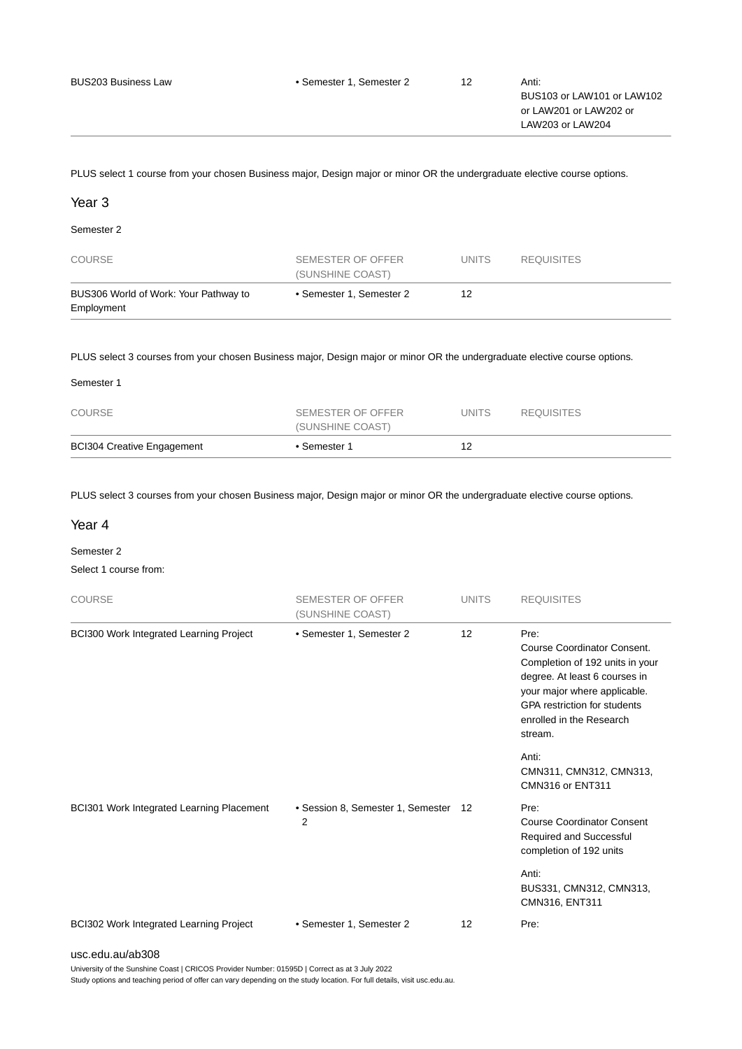PLUS select 1 course from your chosen Business major, Design major or minor OR the undergraduate elective course options.

### Year 3

Semester 2

| <b>COURSE</b>                                       | SEMESTER OF OFFER<br>(SUNSHINE COAST) | UNITS. | <b>REQUISITES</b> |
|-----------------------------------------------------|---------------------------------------|--------|-------------------|
| BUS306 World of Work: Your Pathway to<br>Employment | • Semester 1. Semester 2              | 12     |                   |

PLUS select 3 courses from your chosen Business major, Design major or minor OR the undergraduate elective course options.

| <b>BCI304 Creative Engagement</b> | • Semester 1      | 12           |                   |  |
|-----------------------------------|-------------------|--------------|-------------------|--|
|                                   | (SUNSHINE COAST)  |              |                   |  |
| <b>COURSE</b>                     | SEMESTER OF OFFER | <b>UNITS</b> | <b>REQUISITES</b> |  |
| Semester 1                        |                   |              |                   |  |

PLUS select 3 courses from your chosen Business major, Design major or minor OR the undergraduate elective course options.

### Year 4

Semester 2

Select 1 course from:

| <b>COURSE</b>                             | <b>SEMESTER OF OFFER</b><br>(SUNSHINE COAST) | <b>UNITS</b>      | <b>REQUISITES</b>                                                                                                                                                                                                            |
|-------------------------------------------|----------------------------------------------|-------------------|------------------------------------------------------------------------------------------------------------------------------------------------------------------------------------------------------------------------------|
| BCI300 Work Integrated Learning Project   | • Semester 1, Semester 2                     | 12                | Pre:<br><b>Course Coordinator Consent.</b><br>Completion of 192 units in your<br>degree. At least 6 courses in<br>your major where applicable.<br><b>GPA</b> restriction for students<br>enrolled in the Research<br>stream. |
|                                           |                                              |                   | Anti:<br>CMN311, CMN312, CMN313,<br>CMN316 or ENT311                                                                                                                                                                         |
| BCI301 Work Integrated Learning Placement | • Session 8, Semester 1, Semester<br>2       | 12                | Pre:<br><b>Course Coordinator Consent</b><br>Required and Successful<br>completion of 192 units                                                                                                                              |
|                                           |                                              |                   | Anti:<br>BUS331, CMN312, CMN313,<br>CMN316, ENT311                                                                                                                                                                           |
| BCI302 Work Integrated Learning Project   | • Semester 1, Semester 2                     | $12 \overline{ }$ | Pre:                                                                                                                                                                                                                         |
| usc.edu.au/ab308                          |                                              |                   |                                                                                                                                                                                                                              |

University of the Sunshine Coast | CRICOS Provider Number: 01595D | Correct as at 3 July 2022

Study options and teaching period of offer can vary depending on the study location. For full details, visit usc.edu.au.